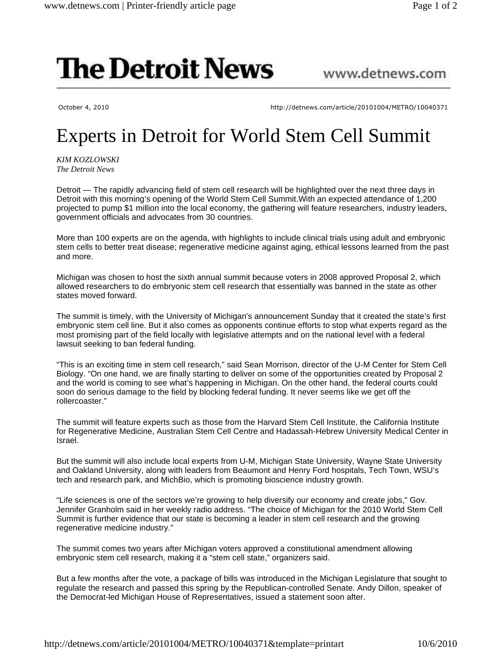## **The Detroit News**

## www.detnews.com

October 4, 2010 http://detnews.com/article/20101004/METRO/10040371

## Experts in Detroit for World Stem Cell Summit

*KIM KOZLOWSKI The Detroit News*

Detroit — The rapidly advancing field of stem cell research will be highlighted over the next three days in Detroit with this morning's opening of the World Stem Cell Summit.With an expected attendance of 1,200 projected to pump \$1 million into the local economy, the gathering will feature researchers, industry leaders, government officials and advocates from 30 countries.

More than 100 experts are on the agenda, with highlights to include clinical trials using adult and embryonic stem cells to better treat disease; regenerative medicine against aging, ethical lessons learned from the past and more.

Michigan was chosen to host the sixth annual summit because voters in 2008 approved Proposal 2, which allowed researchers to do embryonic stem cell research that essentially was banned in the state as other states moved forward.

The summit is timely, with the University of Michigan's announcement Sunday that it created the state's first embryonic stem cell line. But it also comes as opponents continue efforts to stop what experts regard as the most promising part of the field locally with legislative attempts and on the national level with a federal lawsuit seeking to ban federal funding.

"This is an exciting time in stem cell research," said Sean Morrison, director of the U-M Center for Stem Cell Biology. "On one hand, we are finally starting to deliver on some of the opportunities created by Proposal 2 and the world is coming to see what's happening in Michigan. On the other hand, the federal courts could soon do serious damage to the field by blocking federal funding. It never seems like we get off the rollercoaster."

The summit will feature experts such as those from the Harvard Stem Cell Institute, the California Institute for Regenerative Medicine, Australian Stem Cell Centre and Hadassah-Hebrew University Medical Center in Israel.

But the summit will also include local experts from U-M, Michigan State University, Wayne State University and Oakland University, along with leaders from Beaumont and Henry Ford hospitals, Tech Town, WSU's tech and research park, and MichBio, which is promoting bioscience industry growth.

"Life sciences is one of the sectors we're growing to help diversify our economy and create jobs," Gov. Jennifer Granholm said in her weekly radio address. "The choice of Michigan for the 2010 World Stem Cell Summit is further evidence that our state is becoming a leader in stem cell research and the growing regenerative medicine industry."

The summit comes two years after Michigan voters approved a constitutional amendment allowing embryonic stem cell research, making it a "stem cell state," organizers said.

But a few months after the vote, a package of bills was introduced in the Michigan Legislature that sought to regulate the research and passed this spring by the Republican-controlled Senate. Andy Dillon, speaker of the Democrat-led Michigan House of Representatives, issued a statement soon after.